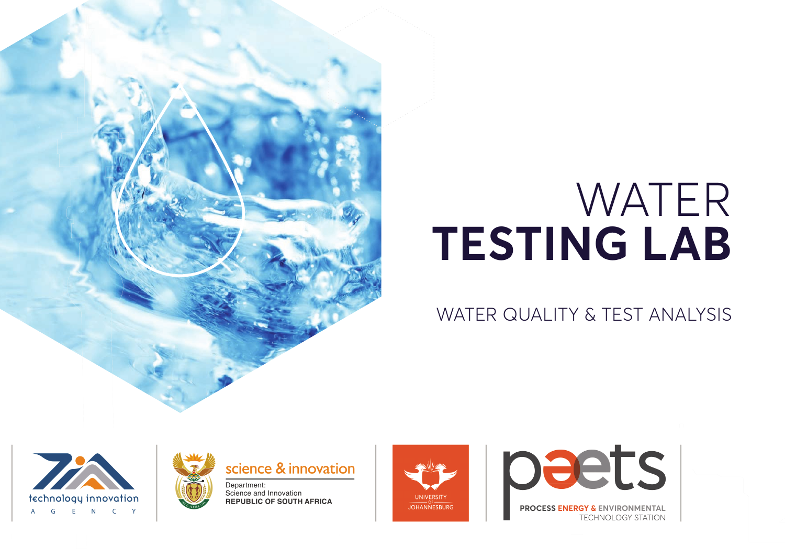# WATER **TESTING LAB**

# WATER QUALITY & TEST ANALYSIS







Science and Innovation **REPUBLIC OF SOUTH AFRICA**